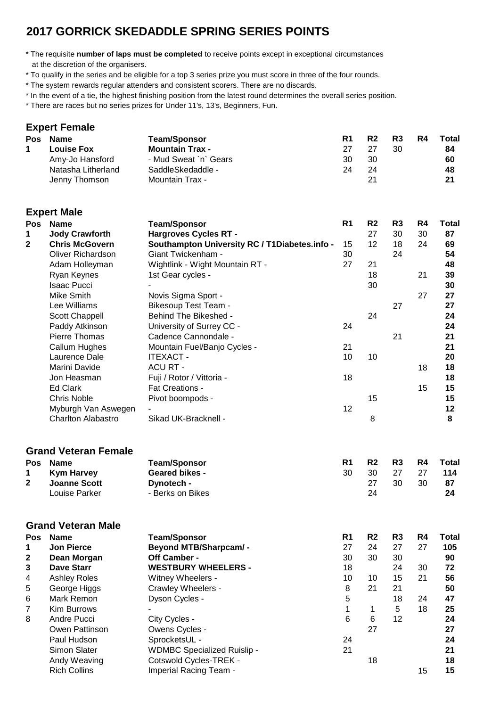## **2017 GORRICK SKEDADDLE SPRING SERIES POINTS**

\* The requisite **number of laps must be completed** to receive points except in exceptional circumstances at the discretion of the organisers.

- \* To qualify in the series and be eligible for a top 3 series prize you must score in three of the four rounds.
- \* The system rewards regular attenders and consistent scorers. There are no discards.
- \* In the event of a tie, the highest finishing position from the latest round determines the overall series position.
- \* There are races but no series prizes for Under 11's, 13's, Beginners, Fun.

#### **Expert Female**

|  | Pos Name           | <b>Team/Sponsor</b>    | R1 | R <sub>2</sub> | R <sub>3</sub> | <b>R4</b> | Total |
|--|--------------------|------------------------|----|----------------|----------------|-----------|-------|
|  | <b>Louise Fox</b>  | <b>Mountain Trax -</b> | 27 | 27             | 30             |           | 84    |
|  | Amy-Jo Hansford    | - Mud Sweat `n` Gears  | 30 | 30             |                |           | 60    |
|  | Natasha Litherland | SaddleSkedaddle -      | 24 | 24             |                |           | 48    |
|  | Jenny Thomson      | <b>Mountain Trax -</b> |    | 21             |                |           | 21    |

|  | <b>Expert Male</b> |  |
|--|--------------------|--|
|  |                    |  |

| Pos              | <b>Name</b>                              | <b>Team/Sponsor</b>                           | R <sub>1</sub> | R <sub>2</sub> | R <sub>3</sub> | R4 | <b>Total</b> |
|------------------|------------------------------------------|-----------------------------------------------|----------------|----------------|----------------|----|--------------|
| 1                | <b>Jody Crawforth</b>                    | <b>Hargroves Cycles RT -</b>                  |                | 27             | 30             | 30 | 87           |
| $\mathbf{2}$     | <b>Chris McGovern</b>                    | Southampton University RC / T1Diabetes.info - | 15             | 12             | 18             | 24 | 69           |
|                  | <b>Oliver Richardson</b>                 | Giant Twickenham -                            | 30             |                | 24             |    | 54           |
|                  | Adam Holleyman                           | Wightlink - Wight Mountain RT -               | 27             | 21             |                |    | 48           |
|                  | Ryan Keynes                              | 1st Gear cycles -                             |                | 18             |                | 21 | 39           |
|                  | <b>Isaac Pucci</b>                       |                                               |                | 30             |                |    | 30           |
|                  | Mike Smith                               | Novis Sigma Sport -                           |                |                |                | 27 | 27           |
|                  | Lee Williams                             | <b>Bikesoup Test Team -</b>                   |                |                | 27             |    | 27           |
|                  | <b>Scott Chappell</b>                    | Behind The Bikeshed -                         |                | 24             |                |    | 24           |
|                  | Paddy Atkinson                           | University of Surrey CC -                     | 24             |                |                |    | 24           |
|                  | Pierre Thomas                            | Cadence Cannondale -                          |                |                | 21             |    | 21           |
|                  | Callum Hughes                            | Mountain Fuel/Banjo Cycles -                  | 21             |                |                |    | 21           |
|                  | Laurence Dale                            | <b>ITEXACT -</b>                              | 10             | 10             |                |    | 20           |
|                  | Marini Davide                            | <b>ACURT-</b>                                 |                |                |                | 18 | 18           |
|                  | Jon Heasman                              | Fuji / Rotor / Vittoria -                     | 18             |                |                |    | 18           |
|                  | <b>Ed Clark</b>                          | Fat Creations -                               |                |                |                | 15 | 15           |
|                  | <b>Chris Noble</b>                       | Pivot boompods -                              |                | 15             |                |    | 15           |
|                  | Myburgh Van Aswegen                      |                                               | 12             |                |                |    | 12           |
|                  | <b>Charlton Alabastro</b>                | Sikad UK-Bracknell -                          |                | 8              |                |    | 8            |
|                  |                                          |                                               |                |                |                |    |              |
|                  | <b>Grand Veteran Female</b>              |                                               |                |                |                |    |              |
| <b>Pos</b>       | <b>Name</b>                              | <b>Team/Sponsor</b>                           | R <sub>1</sub> | R <sub>2</sub> | R <sub>3</sub> | R4 | <b>Total</b> |
| 1                | <b>Kym Harvey</b>                        | <b>Geared bikes -</b>                         | 30             | 30             | 27             | 27 | 114          |
| $\mathbf{2}$     | <b>Joanne Scott</b>                      | Dynotech -                                    |                | 27             | 30             | 30 | 87           |
|                  | Louise Parker                            | - Berks on Bikes                              |                | 24             |                |    | 24           |
|                  |                                          |                                               |                |                |                |    |              |
| Pos              | <b>Grand Veteran Male</b><br><b>Name</b> | <b>Team/Sponsor</b>                           | R <sub>1</sub> | R <sub>2</sub> | R <sub>3</sub> | R4 | <b>Total</b> |
| 1                | <b>Jon Pierce</b>                        | <b>Beyond MTB/Sharpcam/-</b>                  | 27             | 24             | 27             | 27 | 105          |
| $\boldsymbol{2}$ | Dean Morgan                              | Off Camber -                                  | 30             | 30             | 30             |    | 90           |
| 3                | <b>Dave Starr</b>                        | <b>WESTBURY WHEELERS -</b>                    | 18             |                | 24             | 30 | 72           |
| 4                | <b>Ashley Roles</b>                      | Witney Wheelers -                             | 10             | 10             | 15             | 21 | 56           |
| 5                | George Higgs                             | Crawley Wheelers -                            | 8              | 21             | 21             |    | 50           |
| 6                | Mark Remon                               | Dyson Cycles -                                | 5              |                | 18             | 24 | 47           |
| $\overline{7}$   | Kim Burrows                              |                                               | $\mathbf{1}$   | 1              | $\sqrt{5}$     | 18 | 25           |
| 8                | Andre Pucci                              | City Cycles -                                 | $\,6$          | $\,6$          | 12             |    | 24           |
|                  | Owen Pattinson                           | Owens Cycles -                                |                | 27             |                |    | 27           |
|                  | Paul Hudson                              | SprocketsUL -                                 | 24             |                |                |    | 24           |
|                  | Simon Slater                             | <b>WDMBC Specialized Ruislip -</b>            | 21             |                |                |    | 21           |
|                  | Andy Weaving                             | Cotswold Cycles-TREK -                        |                | 18             |                |    | 18           |
|                  | <b>Rich Collins</b>                      | Imperial Racing Team -                        |                |                |                | 15 | 15           |
|                  |                                          |                                               |                |                |                |    |              |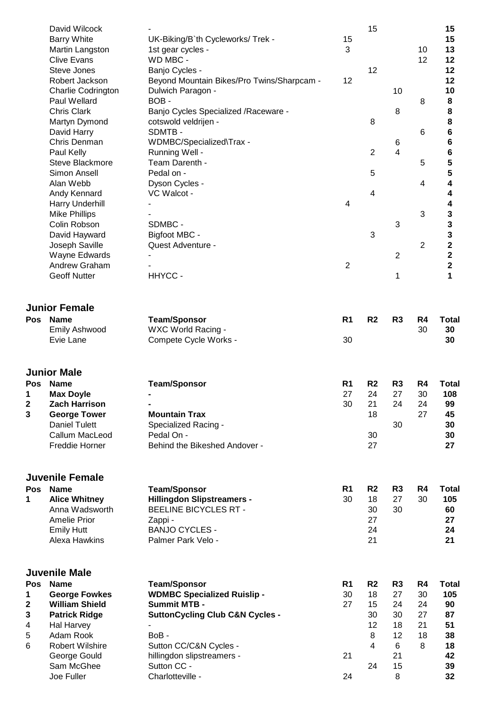|                       | David Wilcock<br><b>Barry White</b><br>Martin Langston<br><b>Clive Evans</b><br>Steve Jones<br>Robert Jackson<br><b>Charlie Codrington</b><br>Paul Wellard<br><b>Chris Clark</b><br>Martyn Dymond<br>David Harry<br>Chris Denman<br>Paul Kelly<br>Steve Blackmore<br>Simon Ansell<br>Alan Webb<br>Andy Kennard<br>Harry Underhill<br><b>Mike Phillips</b><br>Colin Robson<br>David Hayward<br>Joseph Saville<br>Wayne Edwards<br>Andrew Graham<br><b>Geoff Nutter</b> | UK-Biking/B'th Cycleworks/ Trek -<br>1st gear cycles -<br>WD MBC -<br>Banjo Cycles -<br>Beyond Mountain Bikes/Pro Twins/Sharpcam -<br>Dulwich Paragon -<br>BOB-<br>Banjo Cycles Specialized / Raceware -<br>cotswold veldrijen -<br>SDMTB-<br>WDMBC/Specialized\Trax -<br>Running Well -<br>Team Darenth -<br>Pedal on -<br>Dyson Cycles -<br>VC Walcot -<br>SDMBC -<br>Bigfoot MBC -<br>Quest Adventure -<br>HHYCC- | 15<br>3<br>12<br>4<br>$\overline{c}$ | 15<br>12<br>8<br>2<br>5<br>4<br>3            | 10<br>8<br>6<br>$\overline{4}$<br>3<br>$\overline{2}$<br>1 | 10<br>12<br>8<br>6<br>5<br>4<br>$\sqrt{3}$<br>$\overline{2}$ | 15<br>15<br>13<br>12<br>12<br>12<br>10<br>8<br>8<br>8<br>6<br>6<br>6<br>5<br>5<br>4<br>4<br>4<br>3<br>3<br>3<br>$\overline{\mathbf{2}}$<br>$\mathbf 2$<br>$\overline{\mathbf{2}}$<br>1 |  |
|-----------------------|-----------------------------------------------------------------------------------------------------------------------------------------------------------------------------------------------------------------------------------------------------------------------------------------------------------------------------------------------------------------------------------------------------------------------------------------------------------------------|----------------------------------------------------------------------------------------------------------------------------------------------------------------------------------------------------------------------------------------------------------------------------------------------------------------------------------------------------------------------------------------------------------------------|--------------------------------------|----------------------------------------------|------------------------------------------------------------|--------------------------------------------------------------|----------------------------------------------------------------------------------------------------------------------------------------------------------------------------------------|--|
|                       | <b>Junior Female</b><br>Pos Name<br><b>Emily Ashwood</b><br>Evie Lane                                                                                                                                                                                                                                                                                                                                                                                                 | <b>Team/Sponsor</b><br>WXC World Racing -<br>Compete Cycle Works -                                                                                                                                                                                                                                                                                                                                                   | R <sub>1</sub><br>30                 | R <sub>2</sub>                               | R <sub>3</sub>                                             | R4<br>30                                                     | <b>Total</b><br>30<br>30                                                                                                                                                               |  |
| 1<br>$\mathbf 2$<br>3 | <b>Junior Male</b><br>Pos Name<br><b>Max Doyle</b><br><b>Zach Harrison</b><br><b>George Tower</b><br><b>Daniel Tulett</b><br>Callum MacLeod<br>Freddie Horner                                                                                                                                                                                                                                                                                                         | <b>Team/Sponsor</b><br>-<br><b>Mountain Trax</b><br>Specialized Racing -<br>Pedal On -<br>Behind the Bikeshed Andover -                                                                                                                                                                                                                                                                                              | R <sub>1</sub><br>27<br>30           | R <sub>2</sub><br>24<br>21<br>18<br>30<br>27 | R <sub>3</sub><br>27<br>24<br>30                           | R4<br>30<br>24<br>27                                         | <b>Total</b><br>108<br>99<br>45<br>30<br>30<br>27                                                                                                                                      |  |
| 1                     | <b>Juvenile Female</b><br>Pos Name<br><b>Alice Whitney</b><br>Anna Wadsworth<br>Amelie Prior                                                                                                                                                                                                                                                                                                                                                                          | <b>Team/Sponsor</b><br><b>Hillingdon Slipstreamers -</b><br><b>BEELINE BICYCLES RT -</b><br>Zappi -                                                                                                                                                                                                                                                                                                                  | R <sub>1</sub><br>30                 | R <sub>2</sub><br>18<br>30                   | R <sub>3</sub><br>27<br>30                                 | R4<br>30                                                     | <b>Total</b><br>105<br>60<br>27                                                                                                                                                        |  |
|                       | <b>Emily Hutt</b><br>Alexa Hawkins                                                                                                                                                                                                                                                                                                                                                                                                                                    | <b>BANJO CYCLES -</b><br>Palmer Park Velo -                                                                                                                                                                                                                                                                                                                                                                          |                                      | 27<br>24<br>21                               |                                                            |                                                              | 24<br>21                                                                                                                                                                               |  |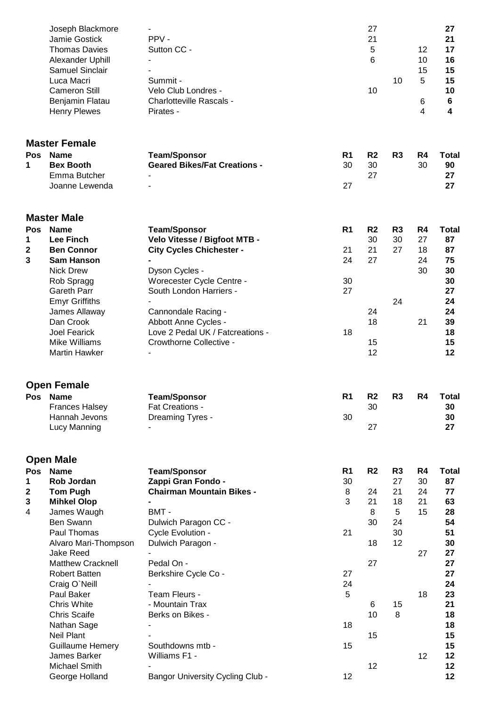|            | Joseph Blackmore<br>Jamie Gostick<br><b>Thomas Davies</b><br>Alexander Uphill<br><b>Samuel Sinclair</b><br>Luca Macri<br><b>Cameron Still</b><br>Benjamin Flatau<br><b>Henry Plewes</b> | PPV-<br>Sutton CC -<br>Summit -<br>Velo Club Londres -<br>Charlotteville Rascals -<br>Pirates - |                | 27<br>21<br>5<br>6<br>10 | 10                   | 12<br>10<br>15<br>5<br>6<br>$\overline{4}$ | 27<br>21<br>17<br>16<br>15<br>15<br>10<br>$\bf 6$<br>4 |  |
|------------|-----------------------------------------------------------------------------------------------------------------------------------------------------------------------------------------|-------------------------------------------------------------------------------------------------|----------------|--------------------------|----------------------|--------------------------------------------|--------------------------------------------------------|--|
|            | <b>Master Female</b>                                                                                                                                                                    |                                                                                                 |                |                          |                      |                                            |                                                        |  |
| Pos        | <b>Name</b>                                                                                                                                                                             | <b>Team/Sponsor</b>                                                                             | R <sub>1</sub> | R <sub>2</sub>           | R <sub>3</sub>       | R4                                         | <b>Total</b>                                           |  |
| 1          | <b>Bex Booth</b>                                                                                                                                                                        | <b>Geared Bikes/Fat Creations -</b>                                                             | 30             | 30                       |                      | 30                                         | 90                                                     |  |
|            | Emma Butcher<br>Joanne Lewenda                                                                                                                                                          |                                                                                                 | 27             | 27                       |                      |                                            | 27<br>27                                               |  |
|            | <b>Master Male</b>                                                                                                                                                                      |                                                                                                 |                |                          |                      |                                            |                                                        |  |
|            | Pos Name<br><b>Lee Finch</b>                                                                                                                                                            | <b>Team/Sponsor</b><br>Velo Vitesse / Bigfoot MTB -                                             | R <sub>1</sub> | R <sub>2</sub><br>30     | R <sub>3</sub><br>30 | R4<br>27                                   | <b>Total</b><br>87                                     |  |
| 1<br>2     | <b>Ben Connor</b>                                                                                                                                                                       | <b>City Cycles Chichester -</b>                                                                 | 21             | 21                       | 27                   | 18                                         | 87                                                     |  |
| 3          | <b>Sam Hanson</b>                                                                                                                                                                       |                                                                                                 | 24             | 27                       |                      | 24                                         | 75                                                     |  |
|            | <b>Nick Drew</b>                                                                                                                                                                        | Dyson Cycles -                                                                                  |                |                          |                      | 30                                         | 30                                                     |  |
|            | Rob Spragg                                                                                                                                                                              | Worecester Cycle Centre -                                                                       | 30             |                          |                      |                                            | 30                                                     |  |
|            | <b>Gareth Parr</b><br><b>Emyr Griffiths</b>                                                                                                                                             | South London Harriers -                                                                         | 27             |                          | 24                   |                                            | 27<br>24                                               |  |
|            | James Allaway                                                                                                                                                                           | Cannondale Racing -                                                                             |                | 24                       |                      |                                            | 24                                                     |  |
|            | Dan Crook                                                                                                                                                                               | Abbott Anne Cycles -                                                                            |                | 18                       |                      | 21                                         | 39                                                     |  |
|            | <b>Joel Fearick</b>                                                                                                                                                                     | Love 2 Pedal UK / Fatcreations -                                                                | 18             |                          |                      |                                            | 18                                                     |  |
|            | Mike Williams<br><b>Martin Hawker</b>                                                                                                                                                   | Crowthorne Collective -                                                                         |                | 15<br>12                 |                      |                                            | 15<br>12                                               |  |
|            | <b>Open Female</b>                                                                                                                                                                      |                                                                                                 |                |                          |                      |                                            |                                                        |  |
|            | Pos Name                                                                                                                                                                                | <b>Team/Sponsor</b>                                                                             | R <sub>1</sub> | R <sub>2</sub>           | R <sub>3</sub>       | R4                                         | <b>Total</b>                                           |  |
|            | <b>Frances Halsey</b><br>Hannah Jevons                                                                                                                                                  | Fat Creations -<br>Dreaming Tyres -                                                             | 30             | 30                       |                      |                                            | 30<br>30                                               |  |
|            | Lucy Manning                                                                                                                                                                            |                                                                                                 |                | 27                       |                      |                                            | 27                                                     |  |
|            | <b>Open Male</b>                                                                                                                                                                        |                                                                                                 |                |                          |                      |                                            |                                                        |  |
| <b>Pos</b> | <b>Name</b>                                                                                                                                                                             | <b>Team/Sponsor</b>                                                                             | R <sub>1</sub> | R <sub>2</sub>           | R3                   | R4                                         | <b>Total</b>                                           |  |
| 1<br>2     | <b>Rob Jordan</b><br><b>Tom Pugh</b>                                                                                                                                                    | Zappi Gran Fondo -<br><b>Chairman Mountain Bikes -</b>                                          | 30<br>8        | 24                       | 27<br>21             | 30<br>24                                   | 87<br>77                                               |  |
| 3          | <b>Mihkel Olop</b>                                                                                                                                                                      |                                                                                                 | 3              | 21                       | 18                   | 21                                         | 63                                                     |  |
| 4          | James Waugh                                                                                                                                                                             | BMT-                                                                                            |                | 8                        | 5                    | 15                                         | 28                                                     |  |
|            | Ben Swann                                                                                                                                                                               | Dulwich Paragon CC -                                                                            |                | 30                       | 24                   |                                            | 54                                                     |  |
|            | Paul Thomas<br>Alvaro Mari-Thompson                                                                                                                                                     | Cycle Evolution -<br>Dulwich Paragon -                                                          | 21             | 18                       | 30<br>12             |                                            | 51<br>30                                               |  |
|            | <b>Jake Reed</b>                                                                                                                                                                        |                                                                                                 |                |                          |                      | 27                                         | 27                                                     |  |
|            | <b>Matthew Cracknell</b>                                                                                                                                                                | Pedal On -                                                                                      |                | 27                       |                      |                                            | 27                                                     |  |
|            | <b>Robert Batten</b>                                                                                                                                                                    | Berkshire Cycle Co -                                                                            | 27             |                          |                      |                                            | 27                                                     |  |
|            | Craig O'Neill                                                                                                                                                                           | Team Fleurs -                                                                                   | 24<br>5        |                          |                      |                                            | 24                                                     |  |
|            | Paul Baker<br>Chris White                                                                                                                                                               | - Mountain Trax                                                                                 |                | 6                        | 15                   | 18                                         | 23<br>21                                               |  |
|            | <b>Chris Scaife</b>                                                                                                                                                                     | Berks on Bikes -                                                                                |                | 10                       | 8                    |                                            | 18                                                     |  |
|            | Nathan Sage                                                                                                                                                                             |                                                                                                 | 18             |                          |                      |                                            | 18                                                     |  |
|            | <b>Neil Plant</b>                                                                                                                                                                       |                                                                                                 |                | 15                       |                      |                                            | 15                                                     |  |
|            | <b>Guillaume Hemery</b><br>James Barker                                                                                                                                                 | Southdowns mtb -<br>Williams F1 -                                                               | 15             |                          |                      | 12                                         | 15<br>12                                               |  |
|            | Michael Smith                                                                                                                                                                           |                                                                                                 |                | 12                       |                      |                                            | 12                                                     |  |
|            | George Holland                                                                                                                                                                          | <b>Bangor University Cycling Club -</b>                                                         | 12             |                          |                      |                                            | 12                                                     |  |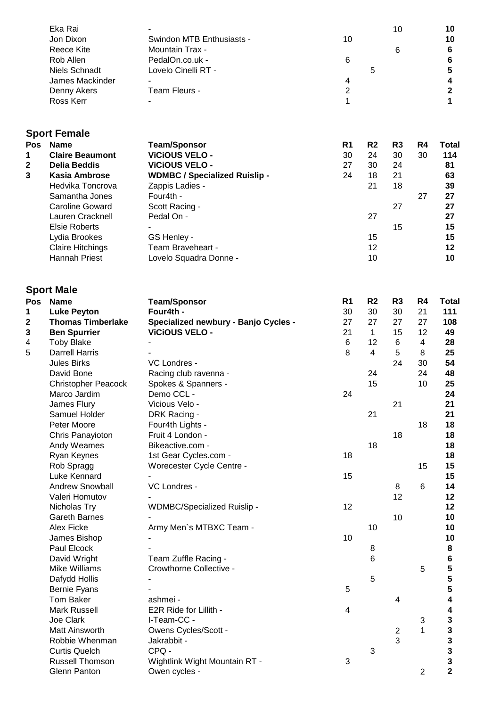| 10                      |
|-------------------------|
| 6                       |
| 6                       |
| 5                       |
| $\overline{\mathbf{4}}$ |
| $\mathbf{2}$            |
| $\blacktriangleleft$    |
|                         |

# **Sport Female**

| <b>Pos</b>   | <b>Name</b>             | <b>Team/Sponsor</b>                  | R <sub>1</sub> | R <sub>2</sub> | R <sub>3</sub> | R <sub>4</sub> | <b>Total</b> |
|--------------|-------------------------|--------------------------------------|----------------|----------------|----------------|----------------|--------------|
| 1            | <b>Claire Beaumont</b>  | <b>VICIOUS VELO -</b>                | 30             | 24             | 30             | 30             | 114          |
| $\mathbf{2}$ | Delia Beddis            | <b>VICIOUS VELO -</b>                | 27             | 30             | 24             |                | 81           |
| 3            | <b>Kasia Ambrose</b>    | <b>WDMBC / Specialized Ruislip -</b> | 24             | 18             | 21             |                | 63           |
|              | Hedvika Toncrova        | Zappis Ladies -                      |                | 21             | 18             |                | 39           |
|              | Samantha Jones          | Four4th -                            |                |                |                | 27             | 27           |
|              | Caroline Goward         | Scott Racing -                       |                |                | 27             |                | 27           |
|              | Lauren Cracknell        | Pedal On -                           |                | 27             |                |                | 27           |
|              | Elsie Roberts           |                                      |                |                | 15             |                | 15           |
|              | Lydia Brookes           | GS Henley -                          |                | 15             |                |                | 15           |
|              | <b>Claire Hitchings</b> | Team Braveheart -                    |                | 12             |                |                | 12           |
|              | Hannah Priest           | Lovelo Squadra Donne -               |                | 10             |                |                | 10           |

### **Sport Male**

| Pos | <b>Name</b>                | <b>Team/Sponsor</b>                  | R <sub>1</sub>          | R <sub>2</sub> | R <sub>3</sub>          | R4                      | Total          |
|-----|----------------------------|--------------------------------------|-------------------------|----------------|-------------------------|-------------------------|----------------|
| 1   | <b>Luke Peyton</b>         | Four4th -                            | 30                      | 30             | 30                      | 21                      | 111            |
| 2   | <b>Thomas Timberlake</b>   | Specialized newbury - Banjo Cycles - | 27                      | 27             | 27                      | 27                      | 108            |
| 3   | <b>Ben Spurrier</b>        | <b>ViCiOUS VELO -</b>                | 21                      | $\mathbf{1}$   | 15                      | 12                      | 49             |
| 4   | <b>Toby Blake</b>          |                                      | $\,6$                   | 12             | $\,6$                   | $\overline{\mathbf{4}}$ | 28             |
| 5   | <b>Darrell Harris</b>      |                                      | 8                       | $\overline{4}$ | 5                       | 8                       | 25             |
|     | <b>Jules Birks</b>         | VC Londres -                         |                         |                | 24                      | 30                      | 54             |
|     | David Bone                 | Racing club ravenna -                |                         | 24             |                         | 24                      | 48             |
|     | <b>Christopher Peacock</b> | Spokes & Spanners -                  |                         | 15             |                         | 10                      | 25             |
|     | Marco Jardim               | Demo CCL -                           | 24                      |                |                         |                         | 24             |
|     | James Flury                | Vicious Velo -                       |                         |                | 21                      |                         | 21             |
|     | Samuel Holder              | DRK Racing -                         |                         | 21             |                         |                         | 21             |
|     | Peter Moore                | Four4th Lights -                     |                         |                |                         | 18                      | 18             |
|     | Chris Panayioton           | Fruit 4 London -                     |                         |                | 18                      |                         | 18             |
|     | Andy Weames                | Bikeactive.com -                     |                         | 18             |                         |                         | 18             |
|     | Ryan Keynes                | 1st Gear Cycles.com -                | 18                      |                |                         |                         | 18             |
|     | Rob Spragg                 | Worecester Cycle Centre -            |                         |                |                         | 15                      | 15             |
|     | Luke Kennard               |                                      | 15                      |                |                         |                         | 15             |
|     | <b>Andrew Snowball</b>     | VC Londres -                         |                         |                | 8                       | 6                       | 14             |
|     | Valeri Homutov             |                                      |                         |                | 12                      |                         | 12             |
|     | Nicholas Try               | WDMBC/Specialized Ruislip -          | 12                      |                |                         |                         | 12             |
|     | <b>Gareth Barnes</b>       |                                      |                         |                | 10                      |                         | 10             |
|     | Alex Ficke                 | Army Men's MTBXC Team -              |                         | 10             |                         |                         | 10             |
|     | James Bishop               |                                      | 10                      |                |                         |                         | 10             |
|     | Paul Elcock                |                                      |                         | 8              |                         |                         | 8              |
|     | David Wright               | Team Zuffle Racing -                 |                         | 6              |                         |                         | $\bf 6$        |
|     | Mike Williams              | Crowthorne Collective -              |                         |                |                         | 5                       | 5              |
|     | Dafydd Hollis              |                                      |                         | 5              |                         |                         | 5              |
|     | Bernie Fyans               |                                      | 5                       |                |                         |                         | 5              |
|     | <b>Tom Baker</b>           | ashmei -                             |                         |                | 4                       |                         | 4              |
|     | <b>Mark Russell</b>        | E2R Ride for Lillith -               | $\overline{\mathbf{4}}$ |                |                         |                         | 4              |
|     | Joe Clark                  | I-Team-CC -                          |                         |                |                         | 3                       | $\mathbf 3$    |
|     | Matt Ainsworth             | Owens Cycles/Scott -                 |                         |                | $\overline{\mathbf{c}}$ | $\mathbf{1}$            | $\mathbf 3$    |
|     | Robbie Whenman             | Jakrabbit -                          |                         |                | 3                       |                         | 3              |
|     | <b>Curtis Quelch</b>       | CPQ -                                |                         | 3              |                         |                         | 3              |
|     | Russell Thomson            | Wightlink Wight Mountain RT -        | 3                       |                |                         |                         | 3              |
|     | Glenn Panton               | Owen cycles -                        |                         |                |                         | $\overline{2}$          | $\overline{2}$ |
|     |                            |                                      |                         |                |                         |                         |                |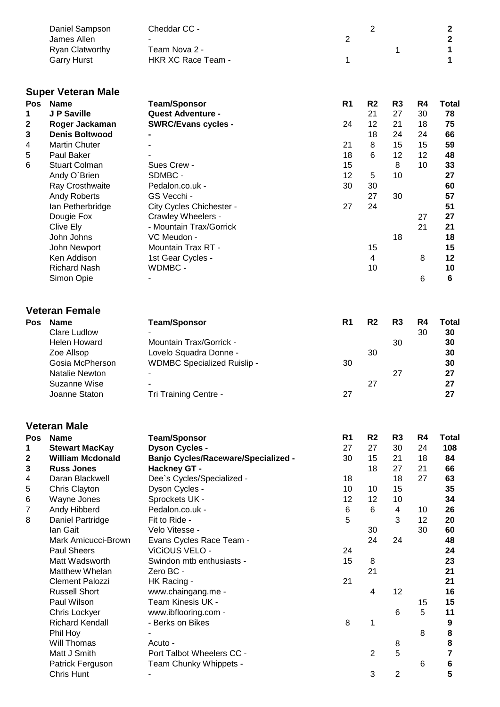|                                             | Daniel Sampson<br>James Allen<br>Ryan Clatworthy<br><b>Garry Hurst</b>                                                                                                                                                                                                                                                                                                                                                                                                                          | Cheddar CC -<br>Team Nova 2 -<br>HKR XC Race Team -                                                                                                                                                                                                                                                                                                                                                                                                                                                | $\overline{2}$<br>1                                                           | $\overline{2}$                                                                                            | 1                                                                                                                      |                                                                               | 2<br>$\overline{\mathbf{2}}$<br>1<br>1                                                                                                     |
|---------------------------------------------|-------------------------------------------------------------------------------------------------------------------------------------------------------------------------------------------------------------------------------------------------------------------------------------------------------------------------------------------------------------------------------------------------------------------------------------------------------------------------------------------------|----------------------------------------------------------------------------------------------------------------------------------------------------------------------------------------------------------------------------------------------------------------------------------------------------------------------------------------------------------------------------------------------------------------------------------------------------------------------------------------------------|-------------------------------------------------------------------------------|-----------------------------------------------------------------------------------------------------------|------------------------------------------------------------------------------------------------------------------------|-------------------------------------------------------------------------------|--------------------------------------------------------------------------------------------------------------------------------------------|
| <b>Pos</b><br>1<br>2<br>3<br>4<br>5<br>6    | <b>Super Veteran Male</b><br><b>Name</b><br>J P Saville<br>Roger Jackaman<br><b>Denis Boltwood</b><br><b>Martin Chuter</b><br>Paul Baker<br><b>Stuart Colman</b><br>Andy O'Brien<br>Ray Crosthwaite<br><b>Andy Roberts</b><br>lan Petherbridge<br>Dougie Fox<br>Clive Ely<br>John Johns<br>John Newport<br>Ken Addison<br><b>Richard Nash</b><br>Simon Opie                                                                                                                                     | <b>Team/Sponsor</b><br><b>Quest Adventure -</b><br><b>SWRC/Evans cycles -</b><br>Sues Crew -<br>SDMBC -<br>Pedalon.co.uk -<br>GS Vecchi -<br>City Cycles Chichester -<br>Crawley Wheelers -<br>- Mountain Trax/Gorrick<br>VC Meudon -<br>Mountain Trax RT -<br>1st Gear Cycles -<br>WDMBC -                                                                                                                                                                                                        | R <sub>1</sub><br>24<br>21<br>18<br>15<br>12<br>30<br>27                      | R <sub>2</sub><br>21<br>12<br>18<br>8<br>6<br>5<br>30<br>27<br>24<br>15<br>$\overline{4}$<br>10           | R <sub>3</sub><br>27<br>21<br>24<br>15<br>12<br>8<br>10<br>30<br>18                                                    | R4<br>30<br>18<br>24<br>15<br>12<br>10<br>27<br>21<br>8<br>6                  | <b>Total</b><br>78<br>75<br>66<br>59<br>48<br>33<br>27<br>60<br>57<br>51<br>27<br>21<br>18<br>15<br>12<br>10<br>6                          |
| Pos                                         | <b>Veteran Female</b><br><b>Name</b><br><b>Clare Ludlow</b><br><b>Helen Howard</b><br>Zoe Allsop<br>Gosia McPherson<br>Natalie Newton<br><b>Suzanne Wise</b><br>Joanne Staton                                                                                                                                                                                                                                                                                                                   | <b>Team/Sponsor</b><br>Mountain Trax/Gorrick -<br>Lovelo Squadra Donne -<br><b>WDMBC Specialized Ruislip -</b><br>Tri Training Centre -                                                                                                                                                                                                                                                                                                                                                            | R <sub>1</sub><br>30<br>27                                                    | R <sub>2</sub><br>30<br>27                                                                                | R <sub>3</sub><br>30<br>27                                                                                             | R4<br>30                                                                      | <b>Total</b><br>30<br>30<br>30<br>30<br>27<br>27<br>27                                                                                     |
| Pos<br>1<br>2<br>3<br>4<br>5<br>6<br>7<br>8 | <b>Veteran Male</b><br><b>Name</b><br><b>Stewart MacKay</b><br><b>William Mcdonald</b><br><b>Russ Jones</b><br>Daran Blackwell<br>Chris Clayton<br>Wayne Jones<br>Andy Hibberd<br>Daniel Partridge<br>lan Gait<br>Mark Amicucci-Brown<br><b>Paul Sheers</b><br>Matt Wadsworth<br><b>Matthew Whelan</b><br><b>Clement Palozzi</b><br><b>Russell Short</b><br>Paul Wilson<br>Chris Lockyer<br><b>Richard Kendall</b><br>Phil Hoy<br>Will Thomas<br>Matt J Smith<br>Patrick Ferguson<br>Chris Hunt | <b>Team/Sponsor</b><br><b>Dyson Cycles -</b><br><b>Banjo Cycles/Raceware/Specialized -</b><br>Hackney GT -<br>Dee`s Cycles/Specialized -<br>Dyson Cycles -<br>Sprockets UK -<br>Pedalon.co.uk -<br>Fit to Ride -<br>Velo Vitesse -<br>Evans Cycles Race Team -<br>ViCiOUS VELO -<br>Swindon mtb enthusiasts -<br>Zero BC -<br>HK Racing -<br>www.chaingang.me -<br>Team Kinesis UK -<br>www.ibflooring.com -<br>- Berks on Bikes<br>Acuto -<br>Port Talbot Wheelers CC -<br>Team Chunky Whippets - | R <sub>1</sub><br>27<br>30<br>18<br>10<br>12<br>6<br>5<br>24<br>15<br>21<br>8 | R <sub>2</sub><br>27<br>15<br>18<br>10<br>12<br>6<br>30<br>24<br>8<br>21<br>4<br>1<br>$\overline{2}$<br>3 | R <sub>3</sub><br>30<br>21<br>27<br>18<br>15<br>10<br>$\overline{4}$<br>3<br>24<br>12<br>6<br>8<br>5<br>$\overline{2}$ | R <sub>4</sub><br>24<br>18<br>21<br>27<br>10<br>12<br>30<br>15<br>5<br>8<br>6 | Total<br>108<br>84<br>66<br>63<br>35<br>34<br>26<br>20<br>60<br>48<br>24<br>23<br>21<br>21<br>16<br>15<br>11<br>9<br>8<br>8<br>7<br>6<br>5 |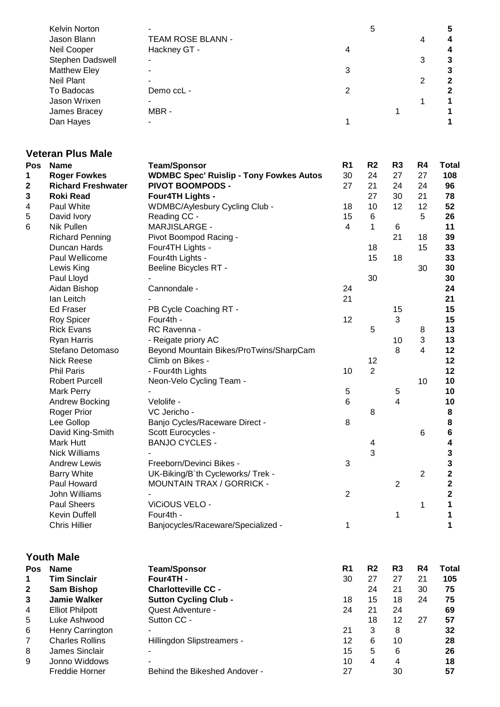| <b>Kelvin Norton</b> |                          |   | 5 |   |   |
|----------------------|--------------------------|---|---|---|---|
| Jason Blann          | <b>TEAM ROSE BLANN -</b> |   |   | 4 | Δ |
| Neil Cooper          | Hackney GT -             | 4 |   |   |   |
| Stephen Dadswell     |                          |   |   | 3 |   |
| <b>Matthew Eley</b>  |                          | 3 |   |   |   |
| <b>Neil Plant</b>    |                          |   |   | 2 | 2 |
| To Badocas           | Demo ccL -               |   |   |   |   |
| Jason Wrixen         |                          |   |   |   |   |
| James Bracey         | MBR-                     |   |   |   |   |
| Dan Hayes            |                          |   |   |   |   |

#### **Veteran Plus Male**

| Pos | <b>Name</b>               | <b>Team/Sponsor</b>                            | R <sub>1</sub>       | R <sub>2</sub>          | R <sub>3</sub> | R4          | Total                   |
|-----|---------------------------|------------------------------------------------|----------------------|-------------------------|----------------|-------------|-------------------------|
| 1   | <b>Roger Fowkes</b>       | <b>WDMBC Spec' Ruislip - Tony Fowkes Autos</b> | 30                   | 24                      | 27             | 27          | 108                     |
| 2   | <b>Richard Freshwater</b> | <b>PIVOT BOOMPODS -</b>                        | 27                   | 21                      | 24             | 24          | 96                      |
| 3   | <b>Roki Read</b>          | Four4TH Lights -                               |                      | 27                      | 30             | 21          | 78                      |
| 4   | Paul White                | WDMBC/Aylesbury Cycling Club -                 | 18                   | 10                      | 12             | 12          | 52                      |
| 5   | David Ivory               | Reading CC -                                   | 15                   | 6                       |                | 5           | 26                      |
| 6   | Nik Pullen                | MARJISLARGE -                                  | $\overline{4}$       | 1                       | 6              |             | 11                      |
|     | <b>Richard Penning</b>    | Pivot Boompod Racing -                         |                      |                         | 21             | 18          | 39                      |
|     | Duncan Hards              | Four4TH Lights -                               |                      | 18                      |                | 15          | 33                      |
|     | Paul Wellicome            | Four4th Lights -                               |                      | 15                      | 18             |             | 33                      |
|     | Lewis King                | Beeline Bicycles RT -                          |                      |                         |                | 30          | 30                      |
|     | Paul Lloyd                |                                                |                      | 30                      |                |             | 30                      |
|     | Aidan Bishop              | Cannondale -                                   | 24                   |                         |                |             | 24                      |
|     | lan Leitch                |                                                | 21                   |                         |                |             | 21                      |
|     | <b>Ed Fraser</b>          | PB Cycle Coaching RT -                         |                      |                         | 15             |             | 15                      |
|     | Roy Spicer                | Four4th -                                      | 12                   |                         | 3              |             | 15                      |
|     | <b>Rick Evans</b>         | RC Ravenna -                                   |                      | 5                       |                | 8           | 13                      |
|     | <b>Ryan Harris</b>        | - Reigate priory AC                            |                      |                         | 10             | 3           | 13                      |
|     | Stefano Detomaso          | Beyond Mountain Bikes/ProTwins/SharpCam        |                      |                         | 8              | 4           | 12                      |
|     | <b>Nick Reese</b>         | Climb on Bikes -                               |                      | 12                      |                |             | 12                      |
|     | <b>Phil Paris</b>         | - Four4th Lights                               | 10                   | $\overline{2}$          |                |             | 12                      |
|     |                           |                                                |                      |                         |                |             | 10                      |
|     | <b>Robert Purcell</b>     | Neon-Velo Cycling Team -                       |                      |                         |                | 10          |                         |
|     | Mark Perry                |                                                | $\,$ 5 $\,$<br>$\,6$ |                         | 5              |             | 10                      |
|     | Andrew Bocking            | Velolife -                                     |                      |                         | 4              |             | 10                      |
|     | Roger Prior               | VC Jericho -                                   |                      | 8                       |                |             | 8                       |
|     | Lee Gollop                | Banjo Cycles/Raceware Direct -                 | 8                    |                         |                |             | 8                       |
|     | David King-Smith          | Scott Eurocycles -                             |                      |                         |                | 6           | 6                       |
|     | Mark Hutt                 | <b>BANJO CYCLES -</b>                          |                      | 4                       |                |             | 4                       |
|     | <b>Nick Williams</b>      |                                                |                      | 3                       |                |             | 3                       |
|     | <b>Andrew Lewis</b>       | Freeborn/Devinci Bikes -                       | 3                    |                         |                |             | $\mathbf{3}$            |
|     | <b>Barry White</b>        | UK-Biking/B'th Cycleworks/ Trek -              |                      |                         |                | $\mathbf 2$ | $\mathbf 2$             |
|     | Paul Howard               | <b>MOUNTAIN TRAX / GORRICK -</b>               |                      |                         | 2              |             | $\overline{\mathbf{2}}$ |
|     | John Williams             |                                                | $\overline{2}$       |                         |                |             | $\overline{\mathbf{2}}$ |
|     | <b>Paul Sheers</b>        | ViCiOUS VELO -                                 |                      |                         |                | 1           | 1                       |
|     | Kevin Duffell             | Four4th -                                      |                      |                         | 1              |             | 1                       |
|     | <b>Chris Hillier</b>      | Banjocycles/Raceware/Specialized -             | 1                    |                         |                |             | 1                       |
|     | <b>Youth Male</b>         |                                                |                      |                         |                |             |                         |
| Pos | <b>Name</b>               | <b>Team/Sponsor</b>                            | R <sub>1</sub>       | R <sub>2</sub>          | R <sub>3</sub> | R4          | Total                   |
| 1   | <b>Tim Sinclair</b>       | Four4TH-                                       | 30                   | 27                      | 27             | 21          | 105                     |
| 2   | <b>Sam Bishop</b>         | <b>Charlotteville CC -</b>                     |                      | 24                      | 21             | 30          | 75                      |
| 3   | <b>Jamie Walker</b>       | <b>Sutton Cycling Club -</b>                   | 18                   | 15                      | 18             | 24          | 75                      |
| 4   | <b>Elliot Philpott</b>    | Quest Adventure -                              | 24                   | 21                      | 24             |             | 69                      |
| 5   | Luke Ashwood              | Sutton CC -                                    |                      | 18                      | 12             | 27          | 57                      |
| 6   | Henry Carrington          |                                                | 21                   | 3                       | 8              |             | 32                      |
| 7   | <b>Charles Rollins</b>    | Hillingdon Slipstreamers -                     | 12                   | $\,6$                   | 10             |             | 28                      |
| 8   | James Sinclair            |                                                | 15                   | 5                       | 6              |             | 26                      |
|     | Jonno Widdows             |                                                | 10                   | $\overline{\mathbf{4}}$ | 4              |             | 18                      |
| 9   |                           | Behind the Bikeshed Andover -                  | 27                   |                         | 30             |             | 57                      |
|     | Freddie Horner            |                                                |                      |                         |                |             |                         |